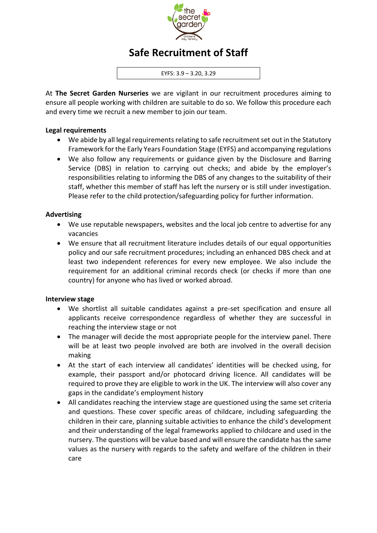

# **Safe Recruitment of Staff**

EYFS: 3.9 – 3.20, 3.29

At **The Secret Garden Nurseries** we are vigilant in our recruitment procedures aiming to ensure all people working with children are suitable to do so. We follow this procedure each and every time we recruit a new member to join our team.

#### **Legal requirements**

- We abide by all legal requirements relating to safe recruitment set out in the Statutory Framework for the Early Years Foundation Stage (EYFS) and accompanying regulations
- We also follow any requirements or guidance given by the Disclosure and Barring Service (DBS) in relation to carrying out checks; and abide by the employer's responsibilities relating to informing the DBS of any changes to the suitability of their staff, whether this member of staff has left the nursery or is still under investigation. Please refer to the child protection/safeguarding policy for further information.

## **Advertising**

- We use reputable newspapers, websites and the local job centre to advertise for any vacancies
- We ensure that all recruitment literature includes details of our equal opportunities policy and our safe recruitment procedures; including an enhanced DBS check and at least two independent references for every new employee. We also include the requirement for an additional criminal records check (or checks if more than one country) for anyone who has lived or worked abroad.

## **Interview stage**

- We shortlist all suitable candidates against a pre-set specification and ensure all applicants receive correspondence regardless of whether they are successful in reaching the interview stage or not
- The manager will decide the most appropriate people for the interview panel. There will be at least two people involved are both are involved in the overall decision making
- At the start of each interview all candidates' identities will be checked using, for example, their passport and/or photocard driving licence. All candidates will be required to prove they are eligible to work in the UK. The interview will also cover any gaps in the candidate's employment history
- All candidates reaching the interview stage are questioned using the same set criteria and questions. These cover specific areas of childcare, including safeguarding the children in their care, planning suitable activities to enhance the child's development and their understanding of the legal frameworks applied to childcare and used in the nursery. The questions will be value based and will ensure the candidate has the same values as the nursery with regards to the safety and welfare of the children in their care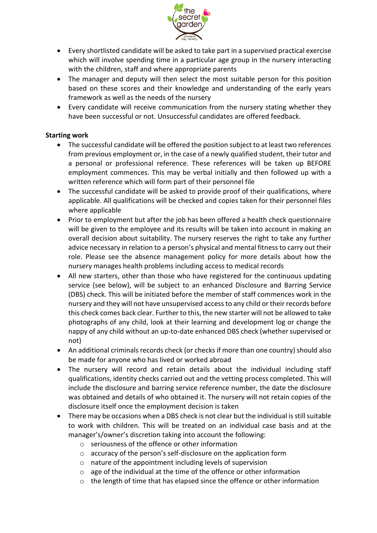

- Every shortlisted candidate will be asked to take part in a supervised practical exercise which will involve spending time in a particular age group in the nursery interacting with the children, staff and where appropriate parents
- The manager and deputy will then select the most suitable person for this position based on these scores and their knowledge and understanding of the early years framework as well as the needs of the nursery
- Every candidate will receive communication from the nursery stating whether they have been successful or not. Unsuccessful candidates are offered feedback.

## **Starting work**

- The successful candidate will be offered the position subject to at least two references from previous employment or, in the case of a newly qualified student, their tutor and a personal or professional reference. These references will be taken up BEFORE employment commences. This may be verbal initially and then followed up with a written reference which will form part of their personnel file
- The successful candidate will be asked to provide proof of their qualifications, where applicable. All qualifications will be checked and copies taken for their personnel files where applicable
- Prior to employment but after the job has been offered a health check questionnaire will be given to the employee and its results will be taken into account in making an overall decision about suitability. The nursery reserves the right to take any further advice necessary in relation to a person's physical and mental fitness to carry out their role. Please see the absence management policy for more details about how the nursery manages health problems including access to medical records
- All new starters, other than those who have registered for the continuous updating service (see below), will be subject to an enhanced Disclosure and Barring Service (DBS) check. This will be initiated before the member of staff commences work in the nursery and they will not have unsupervised access to any child or their records before this check comes back clear. Further to this, the new starter will not be allowed to take photographs of any child, look at their learning and development log or change the nappy of any child without an up-to-date enhanced DBS check (whether supervised or not)
- An additional criminals records check (or checks if more than one country) should also be made for anyone who has lived or worked abroad
- The nursery will record and retain details about the individual including staff qualifications, identity checks carried out and the vetting process completed. This will include the disclosure and barring service reference number, the date the disclosure was obtained and details of who obtained it. The nursery will not retain copies of the disclosure itself once the employment decision is taken
- There may be occasions when a DBS check is not clear but the individual is still suitable to work with children. This will be treated on an individual case basis and at the manager's/owner's discretion taking into account the following:
	- o seriousness of the offence or other information
	- o accuracy of the person's self-disclosure on the application form
	- o nature of the appointment including levels of supervision
	- o age of the individual at the time of the offence or other information
	- $\circ$  the length of time that has elapsed since the offence or other information